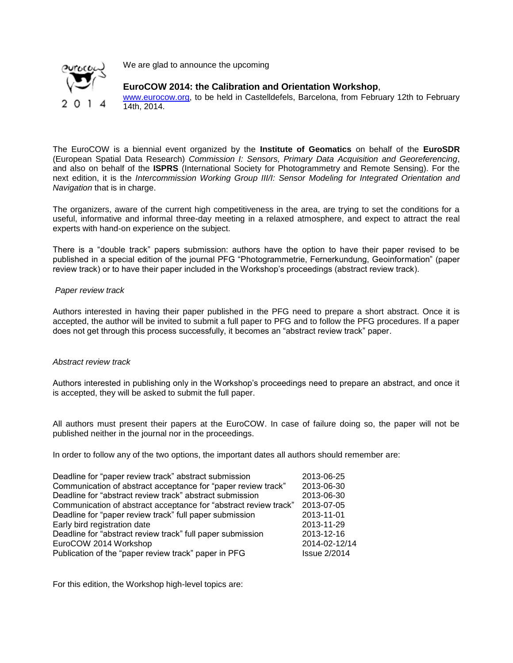

We are glad to announce the upcoming

## **EuroCOW 2014: the Calibration and Orientation Workshop**,

[www.eurocow.org,](http://www.eurocow.org/) to be held in Castelldefels, Barcelona, from February 12th to February 14th, 2014.

The EuroCOW is a biennial event organized by the **Institute of Geomatics** on behalf of the **EuroSDR** (European Spatial Data Research) *Commission I: Sensors, Primary Data Acquisition and Georeferencing*, and also on behalf of the **ISPRS** (International Society for Photogrammetry and Remote Sensing). For the next edition, it is the *Intercommission Working Group III/I: Sensor Modeling for Integrated Orientation and Navigation* that is in charge.

The organizers, aware of the current high competitiveness in the area, are trying to set the conditions for a useful, informative and informal three-day meeting in a relaxed atmosphere, and expect to attract the real experts with hand-on experience on the subject.

There is a "double track" papers submission: authors have the option to have their paper revised to be published in a special edition of the journal PFG "Photogrammetrie, Fernerkundung, Geoinformation" (paper review track) or to have their paper included in the Workshop's proceedings (abstract review track).

## *Paper review track*

Authors interested in having their paper published in the PFG need to prepare a short abstract. Once it is accepted, the author will be invited to submit a full paper to PFG and to follow the PFG procedures. If a paper does not get through this process successfully, it becomes an "abstract review track" paper.

## *Abstract review track*

Authors interested in publishing only in the Workshop's proceedings need to prepare an abstract, and once it is accepted, they will be asked to submit the full paper.

All authors must present their papers at the EuroCOW. In case of failure doing so, the paper will not be published neither in the journal nor in the proceedings.

In order to follow any of the two options, the important dates all authors should remember are:

| Deadline for "paper review track" abstract submission            | 2013-06-25          |
|------------------------------------------------------------------|---------------------|
| Communication of abstract acceptance for "paper review track"    | 2013-06-30          |
| Deadline for "abstract review track" abstract submission         | 2013-06-30          |
| Communication of abstract acceptance for "abstract review track" | 2013-07-05          |
| Deadline for "paper review track" full paper submission          | 2013-11-01          |
| Early bird registration date                                     | 2013-11-29          |
| Deadline for "abstract review track" full paper submission       | 2013-12-16          |
| EuroCOW 2014 Workshop                                            | 2014-02-12/14       |
| Publication of the "paper review track" paper in PFG             | <b>Issue 2/2014</b> |

For this edition, the Workshop high-level topics are: